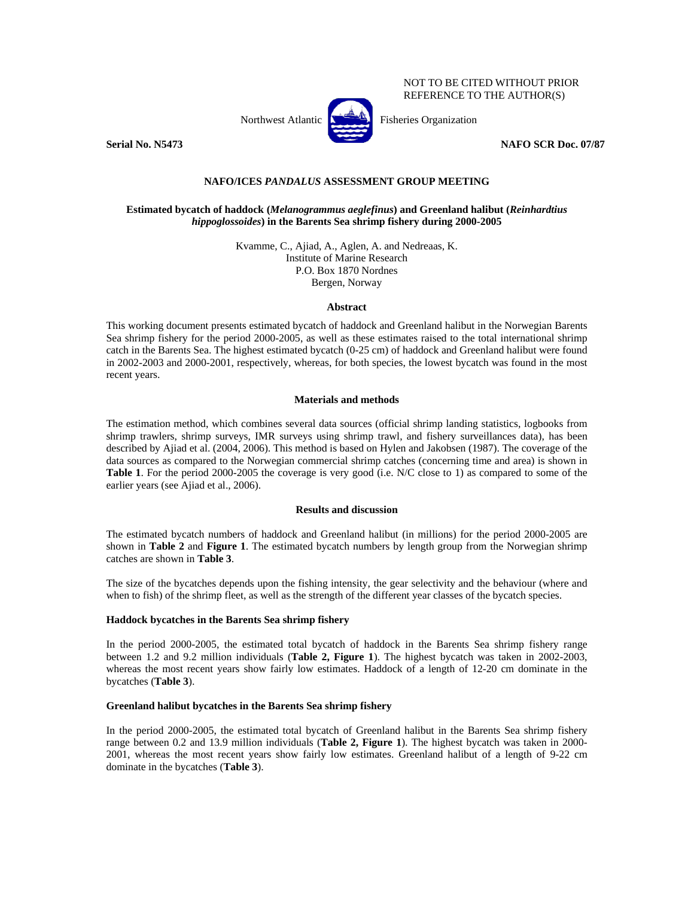NOT TO BE CITED WITHOUT PRIOR REFERENCE TO THE AUTHOR(S)



**Serial No. N5473** NAFO SCR Doc. 07/87

# **NAFO/ICES** *PANDALUS* **ASSESSMENT GROUP MEETING**

# **Estimated bycatch of haddock (***Melanogrammus aeglefinus***) and Greenland halibut (***Reinhardtius hippoglossoides***) in the Barents Sea shrimp fishery during 2000-2005**

Kvamme, C., Ajiad, A., Aglen, A. and Nedreaas, K. Institute of Marine Research P.O. Box 1870 Nordnes Bergen, Norway

#### **Abstract**

This working document presents estimated bycatch of haddock and Greenland halibut in the Norwegian Barents Sea shrimp fishery for the period 2000-2005, as well as these estimates raised to the total international shrimp catch in the Barents Sea. The highest estimated bycatch (0-25 cm) of haddock and Greenland halibut were found in 2002-2003 and 2000-2001, respectively, whereas, for both species, the lowest bycatch was found in the most recent years.

#### **Materials and methods**

The estimation method, which combines several data sources (official shrimp landing statistics, logbooks from shrimp trawlers, shrimp surveys, IMR surveys using shrimp trawl, and fishery surveillances data), has been described by Ajiad et al. (2004, 2006). This method is based on Hylen and Jakobsen (1987). The coverage of the data sources as compared to the Norwegian commercial shrimp catches (concerning time and area) is shown in **Table 1**. For the period 2000-2005 the coverage is very good (i.e. N/C close to 1) as compared to some of the earlier years (see Ajiad et al., 2006).

# **Results and discussion**

The estimated bycatch numbers of haddock and Greenland halibut (in millions) for the period 2000-2005 are shown in **Table 2** and **Figure 1**. The estimated bycatch numbers by length group from the Norwegian shrimp catches are shown in **Table 3**.

The size of the bycatches depends upon the fishing intensity, the gear selectivity and the behaviour (where and when to fish) of the shrimp fleet, as well as the strength of the different year classes of the bycatch species.

## **Haddock bycatches in the Barents Sea shrimp fishery**

In the period 2000-2005, the estimated total bycatch of haddock in the Barents Sea shrimp fishery range between 1.2 and 9.2 million individuals (**Table 2, Figure 1**). The highest bycatch was taken in 2002-2003, whereas the most recent years show fairly low estimates. Haddock of a length of 12-20 cm dominate in the bycatches (**Table 3**).

## **Greenland halibut bycatches in the Barents Sea shrimp fishery**

In the period 2000-2005, the estimated total bycatch of Greenland halibut in the Barents Sea shrimp fishery range between 0.2 and 13.9 million individuals (**Table 2, Figure 1**). The highest bycatch was taken in 2000- 2001, whereas the most recent years show fairly low estimates. Greenland halibut of a length of 9-22 cm dominate in the bycatches (**Table 3**).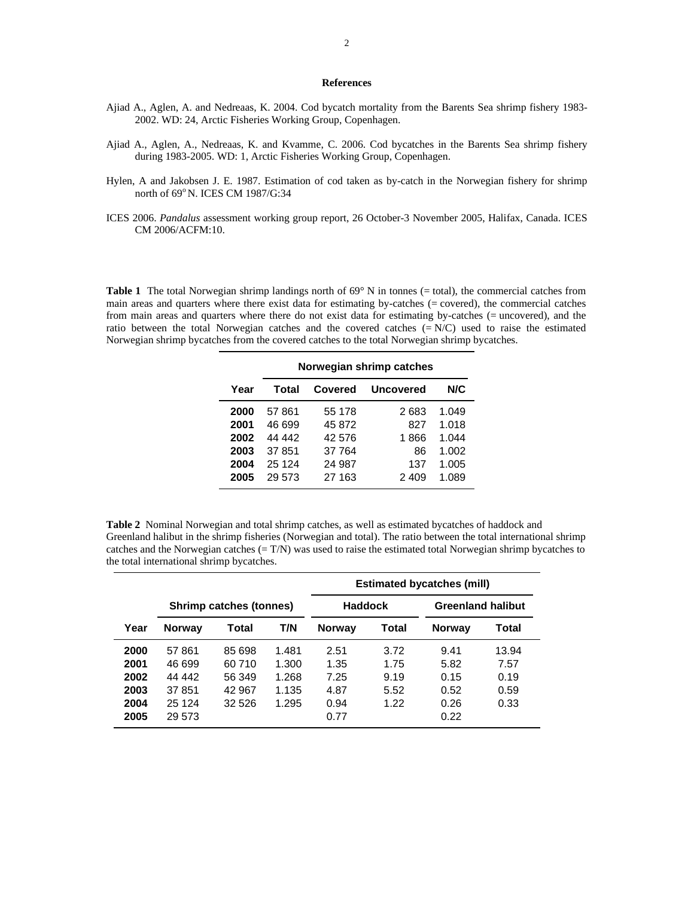#### **References**

- Ajiad A., Aglen, A. and Nedreaas, K. 2004. Cod bycatch mortality from the Barents Sea shrimp fishery 1983- 2002. WD: 24, Arctic Fisheries Working Group, Copenhagen.
- Ajiad A., Aglen, A., Nedreaas, K. and Kvamme, C. 2006. Cod bycatches in the Barents Sea shrimp fishery during 1983-2005. WD: 1, Arctic Fisheries Working Group, Copenhagen.
- Hylen, A and Jakobsen J. E. 1987. Estimation of cod taken as by-catch in the Norwegian fishery for shrimp north of 69°N. ICES CM 1987/G:34
- ICES 2006. *Pandalus* assessment working group report, 26 October-3 November 2005, Halifax, Canada. ICES CM 2006/ACFM:10.

**Table 1** The total Norwegian shrimp landings north of 69° N in tonnes (= total), the commercial catches from main areas and quarters where there exist data for estimating by-catches (= covered), the commercial catches from main areas and quarters where there do not exist data for estimating by-catches (= uncovered), and the ratio between the total Norwegian catches and the covered catches (= N/C) used to raise the estimated Norwegian shrimp bycatches from the covered catches to the total Norwegian shrimp bycatches.

|                                              | Norwegian shrimp catches                                 |                                                          |                                          |                                                    |  |  |  |  |  |
|----------------------------------------------|----------------------------------------------------------|----------------------------------------------------------|------------------------------------------|----------------------------------------------------|--|--|--|--|--|
| Year                                         | Total                                                    | Covered                                                  | <b>Uncovered</b>                         | N/C                                                |  |  |  |  |  |
| 2000<br>2001<br>2002<br>2003<br>2004<br>2005 | 57861<br>46 699<br>44 442<br>37 851<br>25 1 24<br>29.573 | 55 178<br>45 872<br>42 576<br>37 764<br>24 987<br>27 163 | 2683<br>827<br>1866<br>86<br>137<br>2409 | 1.049<br>1.018<br>1.044<br>1.002<br>1.005<br>1.089 |  |  |  |  |  |

**Table 2** Nominal Norwegian and total shrimp catches, as well as estimated bycatches of haddock and Greenland halibut in the shrimp fisheries (Norwegian and total). The ratio between the total international shrimp catches and the Norwegian catches (= T/N) was used to raise the estimated total Norwegian shrimp bycatches to the total international shrimp bycatches.

Ē,

|      |               |                         | <b>Estimated bycatches (mill)</b> |                |       |                          |       |  |
|------|---------------|-------------------------|-----------------------------------|----------------|-------|--------------------------|-------|--|
|      |               | Shrimp catches (tonnes) |                                   | <b>Haddock</b> |       | <b>Greenland halibut</b> |       |  |
| Year | <b>Norway</b> | Total                   | T/N                               | <b>Norway</b>  | Total | <b>Norway</b>            | Total |  |
| 2000 | 57861         | 85 698                  | 1.481                             | 2.51           | 3.72  | 9.41                     | 13.94 |  |
| 2001 | 46 699        | 60 710                  | 1.300                             | 1.35           | 1.75  | 5.82                     | 7.57  |  |
| 2002 | 44 442        | 56 349                  | 1.268                             | 7.25           | 9.19  | 0.15                     | 0.19  |  |
| 2003 | 37851         | 42 967                  | 1.135                             | 4.87           | 5.52  | 0.52                     | 0.59  |  |
| 2004 | 25 1 24       | 32 5 26                 | 1.295                             | 0.94           | 1.22  | 0.26                     | 0.33  |  |
| 2005 | 29 573        |                         |                                   | 0.77           |       | 0.22                     |       |  |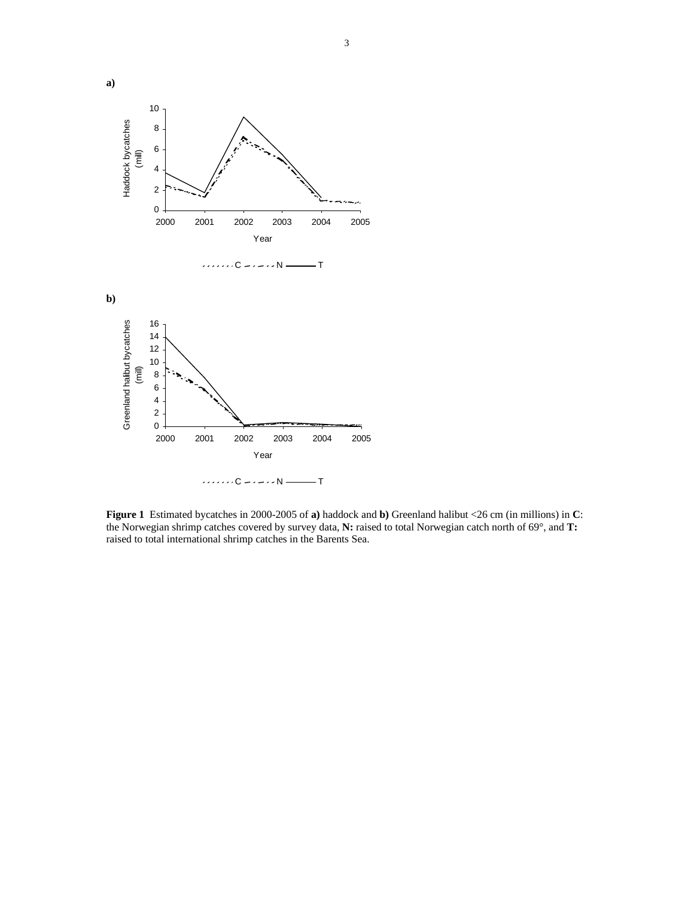

**Figure 1** Estimated bycatches in 2000-2005 of **a)** haddock and **b)** Greenland halibut <26 cm (in millions) in **C**: the Norwegian shrimp catches covered by survey data, **N:** raised to total Norwegian catch north of 69°, and **T:**  raised to total international shrimp catches in the Barents Sea.